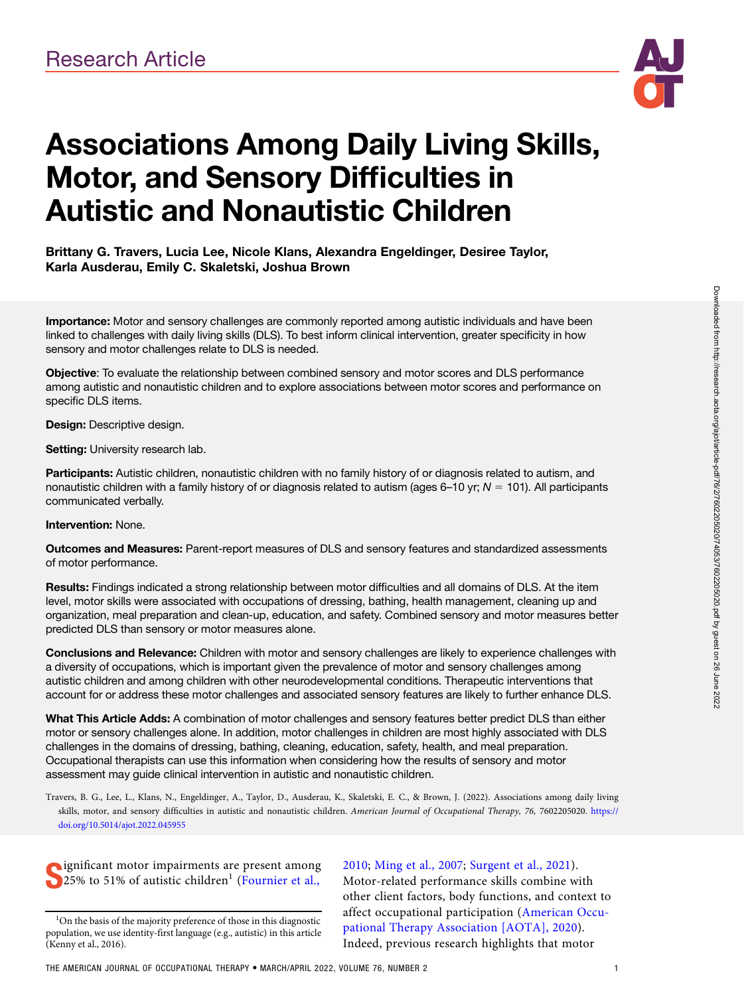

# Associations Among Daily Living Skills, Motor, and Sensory Difficulties in Autistic and Nonautistic Children

## Brittany G. Travers, Lucia Lee, Nicole Klans, Alexandra Engeldinger, Desiree Taylor, Karla Ausderau, Emily C. Skaletski, Joshua Brown

Importance: Motor and sensory challenges are commonly reported among autistic individuals and have been linked to challenges with daily living skills (DLS). To best inform clinical intervention, greater specificity in how sensory and motor challenges relate to DLS is needed.

Objective: To evaluate the relationship between combined sensory and motor scores and DLS performance among autistic and nonautistic children and to explore associations between motor scores and performance on specific DLS items.

Design: Descriptive design.

Setting: University research lab.

Participants: Autistic children, nonautistic children with no family history of or diagnosis related to autism, and nonautistic children with a family history of or diagnosis related to autism (ages 6–10 yr;  $N = 101$ ). All participants communicated verbally.

#### Intervention: None.

Outcomes and Measures: Parent-report measures of DLS and sensory features and standardized assessments of motor performance.

Results: Findings indicated a strong relationship between motor difficulties and all domains of DLS. At the item level, motor skills were associated with occupations of dressing, bathing, health management, cleaning up and organization, meal preparation and clean-up, education, and safety. Combined sensory and motor measures better predicted DLS than sensory or motor measures alone.

Conclusions and Relevance: Children with motor and sensory challenges are likely to experience challenges with a diversity of occupations, which is important given the prevalence of motor and sensory challenges among autistic children and among children with other neurodevelopmental conditions. Therapeutic interventions that account for or address these motor challenges and associated sensory features are likely to further enhance DLS.

What This Article Adds: A combination of motor challenges and sensory features better predict DLS than either motor or sensory challenges alone. In addition, motor challenges in children are most highly associated with DLS challenges in the domains of dressing, bathing, cleaning, education, safety, health, and meal preparation. Occupational therapists can use this information when considering how the results of sensory and motor assessment may guide clinical intervention in autistic and nonautistic children.

Travers, B. G., Lee, L., Klans, N., Engeldinger, A., Taylor, D., Ausderau, K., Skaletski, E. C., & Brown, J. (2022). Associations among daily living skills, motor, and sensory difficulties in autistic and nonautistic children. American Journal of Occupational Therapy, 76, 7602205020. https:// doi.org/10.5014/ajot.2022.045955

Supplied in the origin of autistic children<sup>1</sup> ([Fournier et al.,](#page-8-0) **ignificant motor impairments are present among** 

[2010](#page-8-0); [Ming et al., 2007](#page-8-0); [Surgent et al., 2021\)](#page-8-0). Motor-related performance skills combine with other client factors, body functions, and context to affect occupational participation [\(American Occu](#page-7-0)[pational Therapy Association \[AOTA\], 2020\)](#page-7-0). Indeed, previous research highlights that motor

<sup>&</sup>lt;sup>1</sup>On the basis of the majority preference of those in this diagnostic population, we use identity-first language (e.g., autistic) in this article (Kenny et al., 2016).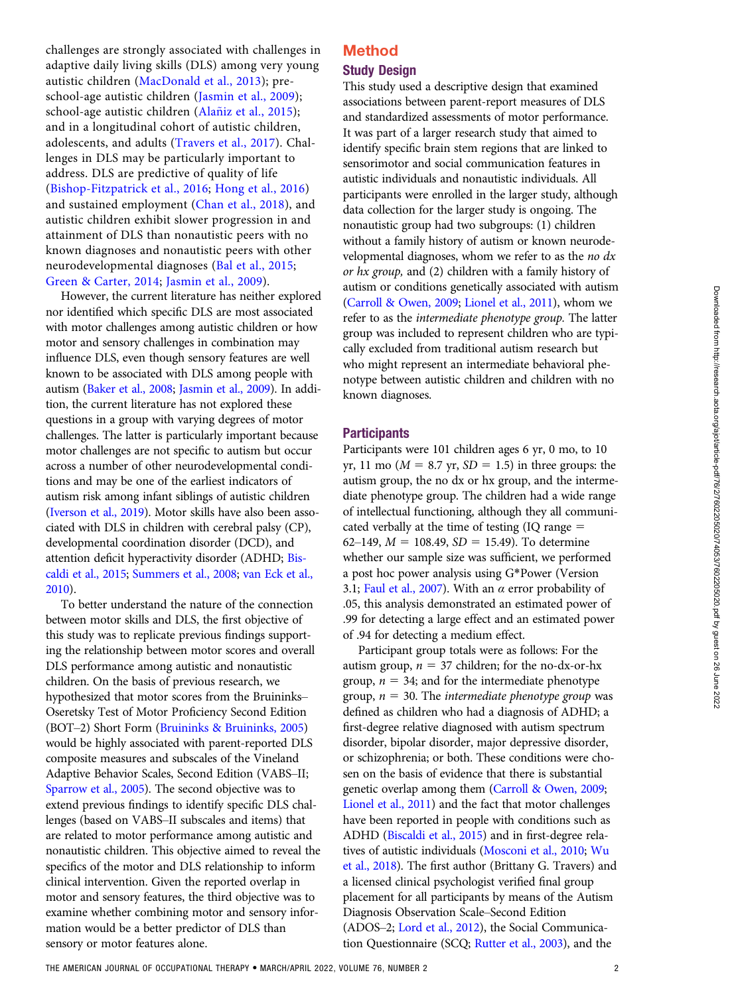challenges are strongly associated with challenges in adaptive daily living skills (DLS) among very young autistic children [\(MacDonald et al., 2013](#page-8-0)); preschool-age autistic children ([Jasmin et al., 2009\)](#page-8-0); school-age autistic children (Alañiz et al., 2015); and in a longitudinal cohort of autistic children, adolescents, and adults ([Travers et al., 2017](#page-8-0)). Challenges in DLS may be particularly important to address. DLS are predictive of quality of life [\(Bishop-Fitzpatrick et al., 2016;](#page-8-0) [Hong et al., 2016\)](#page-8-0) and sustained employment ([Chan et al., 2018\)](#page-8-0), and autistic children exhibit slower progression in and attainment of DLS than nonautistic peers with no known diagnoses and nonautistic peers with other neurodevelopmental diagnoses ([Bal et al., 2015;](#page-8-0) [Green & Carter, 2014](#page-8-0); [Jasmin et al., 2009](#page-8-0)).

However, the current literature has neither explored nor identified which specific DLS are most associated with motor challenges among autistic children or how motor and sensory challenges in combination may influence DLS, even though sensory features are well known to be associated with DLS among people with autism [\(Baker et al., 2008;](#page-8-0) [Jasmin et al., 2009](#page-8-0)). In addition, the current literature has not explored these questions in a group with varying degrees of motor challenges. The latter is particularly important because motor challenges are not specific to autism but occur across a number of other neurodevelopmental conditions and may be one of the earliest indicators of autism risk among infant siblings of autistic children [\(Iverson et al., 2019](#page-8-0)). Motor skills have also been associated with DLS in children with cerebral palsy (CP), developmental coordination disorder (DCD), and attention deficit hyperactivity disorder (ADHD; [Bis](#page-8-0)[caldi et al., 2015](#page-8-0); [Summers et al., 2008](#page-8-0); [van Eck et al.,](#page-8-0) [2010](#page-8-0)).

To better understand the nature of the connection between motor skills and DLS, the first objective of this study was to replicate previous findings supporting the relationship between motor scores and overall DLS performance among autistic and nonautistic children. On the basis of previous research, we hypothesized that motor scores from the Bruininks– Oseretsky Test of Motor Proficiency Second Edition (BOT–2) Short Form ([Bruininks & Bruininks, 2005\)](#page-8-0) would be highly associated with parent-reported DLS composite measures and subscales of the Vineland Adaptive Behavior Scales, Second Edition (VABS–II; [Sparrow et al., 2005](#page-8-0)). The second objective was to extend previous findings to identify specific DLS challenges (based on VABS–II subscales and items) that are related to motor performance among autistic and nonautistic children. This objective aimed to reveal the specifics of the motor and DLS relationship to inform clinical intervention. Given the reported overlap in motor and sensory features, the third objective was to examine whether combining motor and sensory information would be a better predictor of DLS than sensory or motor features alone.

## Method Study Design

This study used a descriptive design that examined associations between parent-report measures of DLS and standardized assessments of motor performance. It was part of a larger research study that aimed to identify specific brain stem regions that are linked to sensorimotor and social communication features in autistic individuals and nonautistic individuals. All participants were enrolled in the larger study, although data collection for the larger study is ongoing. The nonautistic group had two subgroups: (1) children without a family history of autism or known neurodevelopmental diagnoses, whom we refer to as the no  $dx$ or hx group, and (2) children with a family history of autism or conditions genetically associated with autism [\(Carroll & Owen, 2009](#page-8-0); [Lionel et al., 2011\)](#page-8-0), whom we refer to as the intermediate phenotype group. The latter group was included to represent children who are typically excluded from traditional autism research but who might represent an intermediate behavioral phenotype between autistic children and children with no known diagnoses.

#### **Participants**

Participants were 101 children ages 6 yr, 0 mo, to 10 yr, 11 mo ( $M = 8.7$  yr,  $SD = 1.5$ ) in three groups: the autism group, the no dx or hx group, and the intermediate phenotype group. The children had a wide range of intellectual functioning, although they all communicated verbally at the time of testing  $(IQ \ range =$ 62–149,  $M = 108.49$ ,  $SD = 15.49$ ). To determine whether our sample size was sufficient, we performed a post hoc power analysis using G\*Power (Version 3.1; [Faul et al., 2007\)](#page-8-0). With an  $\alpha$  error probability of .05, this analysis demonstrated an estimated power of .99 for detecting a large effect and an estimated power of .94 for detecting a medium effect.

Participant group totals were as follows: For the autism group,  $n = 37$  children; for the no-dx-or-hx group,  $n = 34$ ; and for the intermediate phenotype group,  $n = 30$ . The intermediate phenotype group was defined as children who had a diagnosis of ADHD; a first-degree relative diagnosed with autism spectrum disorder, bipolar disorder, major depressive disorder, or schizophrenia; or both. These conditions were chosen on the basis of evidence that there is substantial genetic overlap among them ([Carroll & Owen, 2009;](#page-8-0) [Lionel et al., 2011](#page-8-0)) and the fact that motor challenges have been reported in people with conditions such as ADHD [\(Biscaldi et al., 2015](#page-8-0)) and in first-degree relatives of autistic individuals [\(Mosconi et al., 2010](#page-8-0); [Wu](#page-9-0) [et al., 2018\)](#page-9-0). The first author (Brittany G. Travers) and a licensed clinical psychologist verified final group placement for all participants by means of the Autism Diagnosis Observation Scale–Second Edition (ADOS–2; [Lord et al., 2012\)](#page-8-0), the Social Communication Questionnaire (SCQ; [Rutter et al., 2003\)](#page-8-0), and the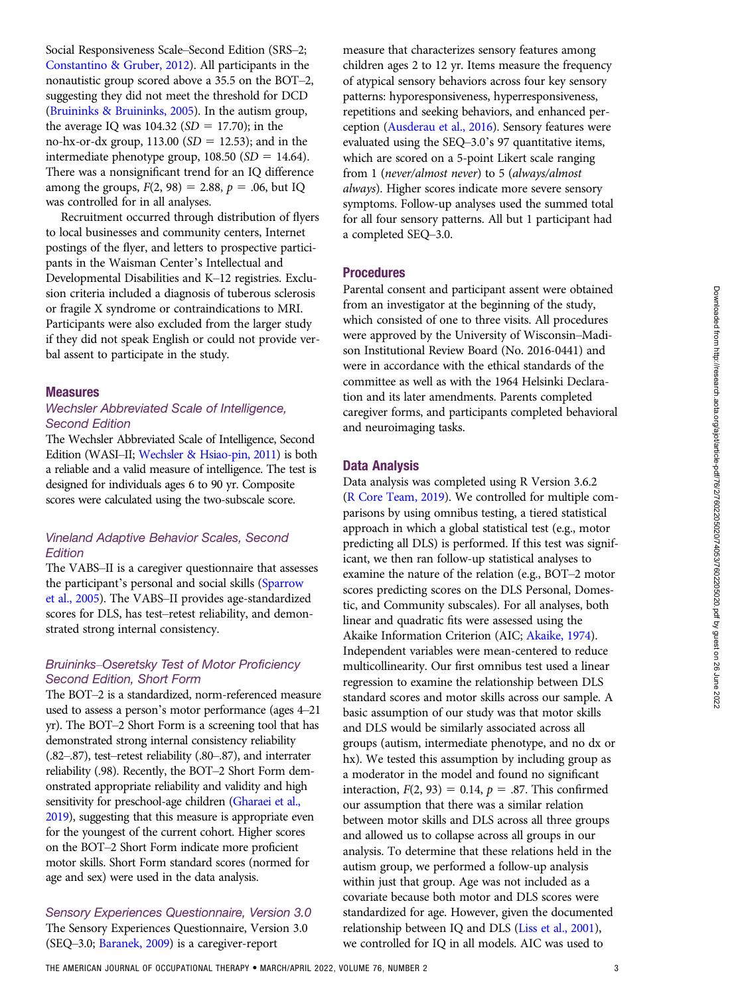Social Responsiveness Scale–Second Edition (SRS–2; [Constantino & Gruber, 2012\)](#page-8-0). All participants in the nonautistic group scored above a 35.5 on the BOT–2, suggesting they did not meet the threshold for DCD [\(Bruininks & Bruininks, 2005](#page-8-0)). In the autism group, the average IQ was  $104.32$  (SD = 17.70); in the no-hx-or-dx group,  $113.00$  (SD = 12.53); and in the intermediate phenotype group,  $108.50$  (SD = 14.64). There was a nonsignificant trend for an IQ difference among the groups,  $F(2, 98) = 2.88$ ,  $p = .06$ , but IQ was controlled for in all analyses.

Recruitment occurred through distribution of flyers to local businesses and community centers, Internet postings of the flyer, and letters to prospective participants in the Waisman Center's Intellectual and Developmental Disabilities and K–12 registries. Exclusion criteria included a diagnosis of tuberous sclerosis or fragile X syndrome or contraindications to MRI. Participants were also excluded from the larger study if they did not speak English or could not provide verbal assent to participate in the study.

#### Measures

#### Wechsler Abbreviated Scale of Intelligence, Second Edition

The Wechsler Abbreviated Scale of Intelligence, Second Edition (WASI–II; [Wechsler & Hsiao-pin, 2011](#page-9-0)) is both a reliable and a valid measure of intelligence. The test is designed for individuals ages 6 to 90 yr. Composite scores were calculated using the two-subscale score.

## Vineland Adaptive Behavior Scales, Second **Edition**

The VABS–II is a caregiver questionnaire that assesses the participant's personal and social skills [\(Sparrow](#page-8-0) [et al., 2005](#page-8-0)). The VABS–II provides age-standardized scores for DLS, has test–retest reliability, and demonstrated strong internal consistency.

#### Bruininks–Oseretsky Test of Motor Proficiency Second Edition, Short Form

The BOT–2 is a standardized, norm-referenced measure used to assess a person's motor performance (ages 4–21 yr). The BOT–2 Short Form is a screening tool that has demonstrated strong internal consistency reliability (.82–.87), test–retest reliability (.80–.87), and interrater reliability (.98). Recently, the BOT–2 Short Form demonstrated appropriate reliability and validity and high sensitivity for preschool-age children [\(Gharaei et al.,](#page-8-0) [2019\)](#page-8-0), suggesting that this measure is appropriate even for the youngest of the current cohort. Higher scores on the BOT–2 Short Form indicate more proficient motor skills. Short Form standard scores (normed for age and sex) were used in the data analysis.

Sensory Experiences Questionnaire, Version 3.0 The Sensory Experiences Questionnaire, Version 3.0 (SEQ–3.0; [Baranek, 2009](#page-8-0)) is a caregiver-report

measure that characterizes sensory features among children ages 2 to 12 yr. Items measure the frequency of atypical sensory behaviors across four key sensory patterns: hyporesponsiveness, hyperresponsiveness, repetitions and seeking behaviors, and enhanced perception ([Ausderau et al., 2016](#page-7-0)). Sensory features were evaluated using the SEQ–3.0's 97 quantitative items, which are scored on a 5-point Likert scale ranging from 1 (never/almost never) to 5 (always/almost always). Higher scores indicate more severe sensory symptoms. Follow-up analyses used the summed total for all four sensory patterns. All but 1 participant had a completed SEQ–3.0.

#### **Procedures**

Parental consent and participant assent were obtained from an investigator at the beginning of the study, which consisted of one to three visits. All procedures were approved by the University of Wisconsin–Madison Institutional Review Board (No. 2016-0441) and were in accordance with the ethical standards of the committee as well as with the 1964 Helsinki Declaration and its later amendments. Parents completed caregiver forms, and participants completed behavioral and neuroimaging tasks.

#### Data Analysis

Data analysis was completed using R Version 3.6.2 [\(R Core Team, 2019](#page-8-0)). We controlled for multiple comparisons by using omnibus testing, a tiered statistical approach in which a global statistical test (e.g., motor predicting all DLS) is performed. If this test was significant, we then ran follow-up statistical analyses to examine the nature of the relation (e.g., BOT–2 motor scores predicting scores on the DLS Personal, Domestic, and Community subscales). For all analyses, both linear and quadratic fits were assessed using the Akaike Information Criterion (AIC; [Akaike, 1974](#page-7-0)). Independent variables were mean-centered to reduce multicollinearity. Our first omnibus test used a linear regression to examine the relationship between DLS standard scores and motor skills across our sample. A basic assumption of our study was that motor skills and DLS would be similarly associated across all groups (autism, intermediate phenotype, and no dx or hx). We tested this assumption by including group as a moderator in the model and found no significant interaction,  $F(2, 93) = 0.14$ ,  $p = .87$ . This confirmed our assumption that there was a similar relation between motor skills and DLS across all three groups and allowed us to collapse across all groups in our analysis. To determine that these relations held in the autism group, we performed a follow-up analysis within just that group. Age was not included as a covariate because both motor and DLS scores were standardized for age. However, given the documented relationship between IQ and DLS ([Liss et al., 2001](#page-8-0)), we controlled for IQ in all models. AIC was used to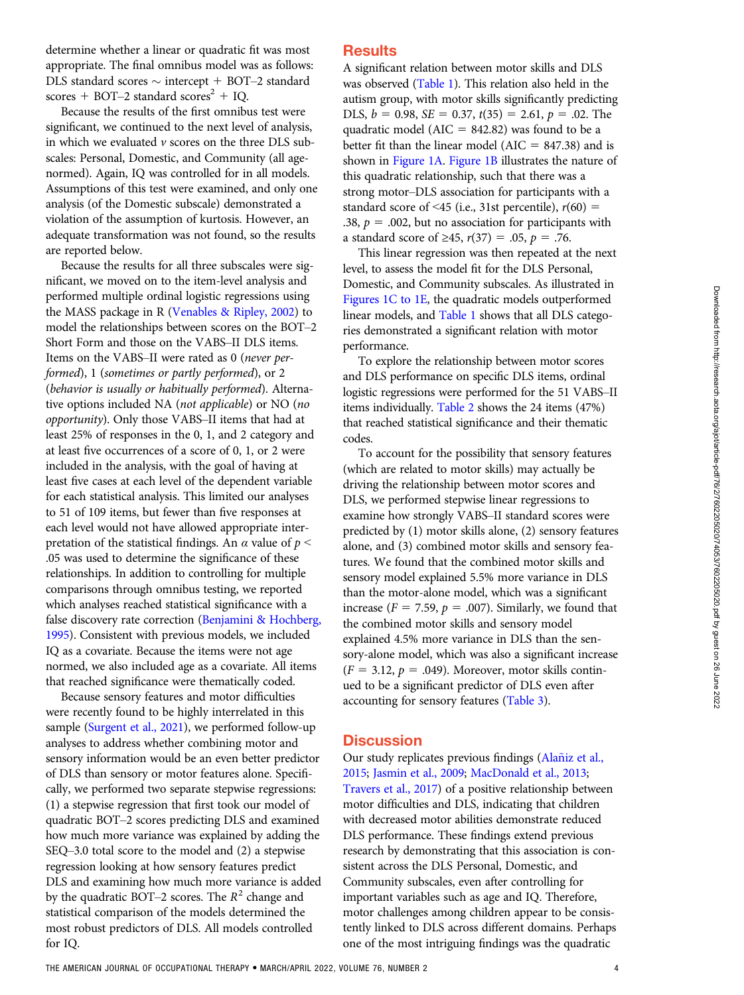determine whether a linear or quadratic fit was most appropriate. The final omnibus model was as follows: DLS standard scores  $\sim$  intercept + BOT–2 standard scores + BOT–2 standard scores<sup>2</sup> + IQ.

Because the results of the first omnibus test were significant, we continued to the next level of analysis, in which we evaluated  $\nu$  scores on the three DLS subscales: Personal, Domestic, and Community (all agenormed). Again, IQ was controlled for in all models. Assumptions of this test were examined, and only one analysis (of the Domestic subscale) demonstrated a violation of the assumption of kurtosis. However, an adequate transformation was not found, so the results are reported below.

Because the results for all three subscales were significant, we moved on to the item-level analysis and performed multiple ordinal logistic regressions using the MASS package in R [\(Venables & Ripley, 2002](#page-8-0)) to model the relationships between scores on the BOT–2 Short Form and those on the VABS–II DLS items. Items on the VABS–II were rated as 0 (never performed), 1 (sometimes or partly performed), or 2 (behavior is usually or habitually performed). Alternative options included NA (not applicable) or NO (no opportunity). Only those VABS–II items that had at least 25% of responses in the 0, 1, and 2 category and at least five occurrences of a score of 0, 1, or 2 were included in the analysis, with the goal of having at least five cases at each level of the dependent variable for each statistical analysis. This limited our analyses to 51 of 109 items, but fewer than five responses at each level would not have allowed appropriate interpretation of the statistical findings. An  $\alpha$  value of  $p \leq$ .05 was used to determine the significance of these relationships. In addition to controlling for multiple comparisons through omnibus testing, we reported which analyses reached statistical significance with a false discovery rate correction ([Benjamini & Hochberg,](#page-8-0) [1995](#page-8-0)). Consistent with previous models, we included IQ as a covariate. Because the items were not age normed, we also included age as a covariate. All items that reached significance were thematically coded.

Because sensory features and motor difficulties were recently found to be highly interrelated in this sample [\(Surgent et al., 2021](#page-8-0)), we performed follow-up analyses to address whether combining motor and sensory information would be an even better predictor of DLS than sensory or motor features alone. Specifically, we performed two separate stepwise regressions: (1) a stepwise regression that first took our model of quadratic BOT–2 scores predicting DLS and examined how much more variance was explained by adding the SEQ–3.0 total score to the model and (2) a stepwise regression looking at how sensory features predict DLS and examining how much more variance is added by the quadratic BOT–2 scores. The  $R^2$  change and statistical comparison of the models determined the most robust predictors of DLS. All models controlled for IQ.

## **Results**

A significant relation between motor skills and DLS was observed (Table 1). This relation also held in the autism group, with motor skills significantly predicting DLS,  $b = 0.98$ ,  $SE = 0.37$ ,  $t(35) = 2.61$ ,  $p = .02$ . The quadratic model ( $AIC = 842.82$ ) was found to be a better fit than the linear model ( $AIC = 847.38$ ) and is shown in Figure 1A. Figure 1B illustrates the nature of this quadratic relationship, such that there was a strong motor–DLS association for participants with a standard score of <45 (i.e., 31st percentile),  $r(60)$  = .38,  $p = .002$ , but no association for participants with a standard score of ≥45,  $r(37) = .05$ ,  $p = .76$ .

This linear regression was then repeated at the next level, to assess the model fit for the DLS Personal, Domestic, and Community subscales. As illustrated in Figures 1C to 1E, the quadratic models outperformed linear models, and Table 1 shows that all DLS categories demonstrated a significant relation with motor performance.

To explore the relationship between motor scores and DLS performance on specific DLS items, ordinal logistic regressions were performed for the 51 VABS–II items individually. Table 2 shows the 24 items (47%) that reached statistical significance and their thematic codes.

To account for the possibility that sensory features (which are related to motor skills) may actually be driving the relationship between motor scores and DLS, we performed stepwise linear regressions to examine how strongly VABS–II standard scores were predicted by (1) motor skills alone, (2) sensory features alone, and (3) combined motor skills and sensory features. We found that the combined motor skills and sensory model explained 5.5% more variance in DLS than the motor-alone model, which was a significant increase ( $F = 7.59$ ,  $p = .007$ ). Similarly, we found that the combined motor skills and sensory model explained 4.5% more variance in DLS than the sensory-alone model, which was also a significant increase  $(F = 3.12, p = .049)$ . Moreover, motor skills continued to be a significant predictor of DLS even after accounting for sensory features (Table 3).

#### **Discussion**

Our study replicates previous findings [\(Alaniz et al.,](#page-7-0) [2015](#page-7-0); [Jasmin et al., 2009;](#page-8-0) [MacDonald et al., 2013;](#page-8-0) [Travers et al., 2017\)](#page-8-0) of a positive relationship between motor difficulties and DLS, indicating that children with decreased motor abilities demonstrate reduced DLS performance. These findings extend previous research by demonstrating that this association is consistent across the DLS Personal, Domestic, and Community subscales, even after controlling for important variables such as age and IQ. Therefore, motor challenges among children appear to be consistently linked to DLS across different domains. Perhaps one of the most intriguing findings was the quadratic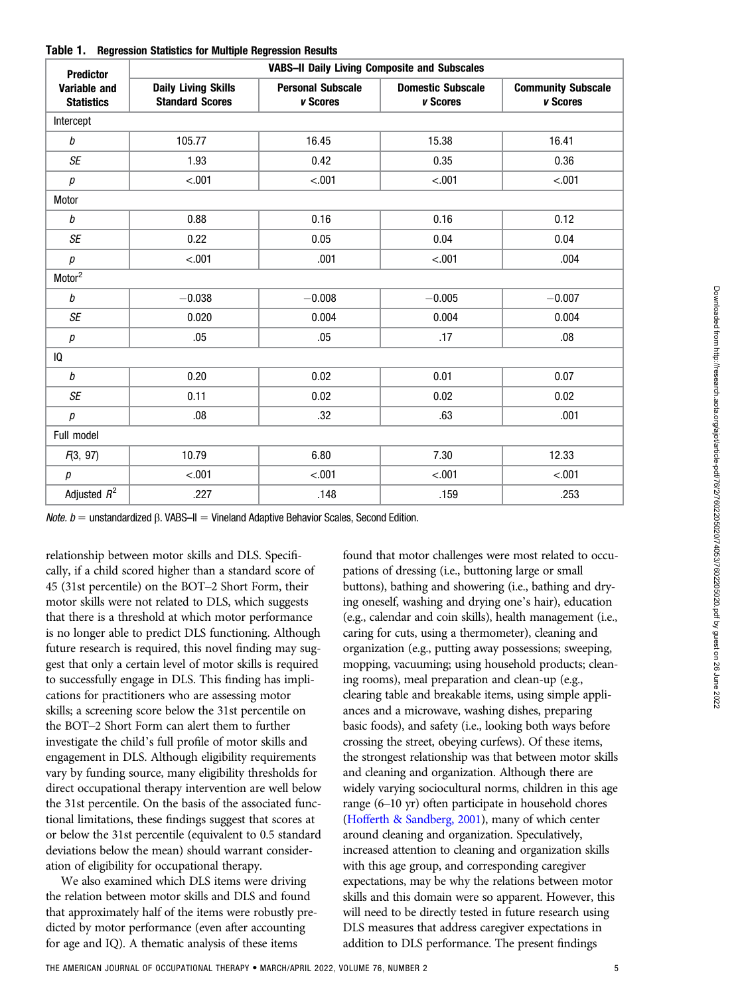| <b>Predictor</b>                  | <b>VABS-II Daily Living Composite and Subscales</b>  |                                      |                                      |                                       |  |  |  |
|-----------------------------------|------------------------------------------------------|--------------------------------------|--------------------------------------|---------------------------------------|--|--|--|
| Variable and<br><b>Statistics</b> | <b>Daily Living Skills</b><br><b>Standard Scores</b> | <b>Personal Subscale</b><br>v Scores | <b>Domestic Subscale</b><br>v Scores | <b>Community Subscale</b><br>v Scores |  |  |  |
| Intercept                         |                                                      |                                      |                                      |                                       |  |  |  |
| b                                 | 105.77                                               | 16.45                                | 15.38                                | 16.41                                 |  |  |  |
| SE                                | 1.93                                                 | 0.42                                 | 0.35                                 | 0.36                                  |  |  |  |
| р                                 | < .001                                               | $-.001$                              | < .001                               | $-.001$                               |  |  |  |
| Motor                             |                                                      |                                      |                                      |                                       |  |  |  |
| $\it{b}$                          | 0.88                                                 | 0.16                                 | 0.16                                 | 0.12                                  |  |  |  |
| <b>SE</b>                         | 0.22                                                 | 0.05                                 | 0.04                                 | 0.04                                  |  |  |  |
| р                                 | $-.001$                                              | .001                                 | $-.001$                              | .004                                  |  |  |  |
| Motor <sup>2</sup>                |                                                      |                                      |                                      |                                       |  |  |  |
| b                                 | $-0.038$                                             | $-0.008$                             | $-0.005$                             | $-0.007$                              |  |  |  |
| <b>SE</b>                         | 0.020                                                | 0.004                                | 0.004                                | 0.004                                 |  |  |  |
| р                                 | .05                                                  | .05                                  | .17                                  | .08                                   |  |  |  |
| IQ                                |                                                      |                                      |                                      |                                       |  |  |  |
| $\it{b}$                          | 0.20                                                 | 0.02                                 | 0.01                                 | 0.07                                  |  |  |  |
| SE                                | 0.11                                                 | 0.02                                 | 0.02                                 | 0.02                                  |  |  |  |
| р                                 | .08                                                  | .32                                  | .63                                  | .001                                  |  |  |  |
| Full model                        |                                                      |                                      |                                      |                                       |  |  |  |
| F(3, 97)                          | 10.79                                                | 6.80                                 | 7.30<br>12.33                        |                                       |  |  |  |
| $\boldsymbol{p}$                  | $-.001$                                              | $-.001$                              | $-.001$                              | $-.001$                               |  |  |  |
| Adjusted $R^2$                    | .227                                                 | .148                                 | .159<br>.253                         |                                       |  |  |  |

Table 1. Regression Statistics for Multiple Regression Results

*Note. b* = unstandardized β. VABS–II = Vineland Adaptive Behavior Scales, Second Edition.

relationship between motor skills and DLS. Specifically, if a child scored higher than a standard score of 45 (31st percentile) on the BOT–2 Short Form, their motor skills were not related to DLS, which suggests that there is a threshold at which motor performance is no longer able to predict DLS functioning. Although future research is required, this novel finding may suggest that only a certain level of motor skills is required to successfully engage in DLS. This finding has implications for practitioners who are assessing motor skills; a screening score below the 31st percentile on the BOT–2 Short Form can alert them to further investigate the child's full profile of motor skills and engagement in DLS. Although eligibility requirements vary by funding source, many eligibility thresholds for direct occupational therapy intervention are well below the 31st percentile. On the basis of the associated functional limitations, these findings suggest that scores at or below the 31st percentile (equivalent to 0.5 standard deviations below the mean) should warrant consideration of eligibility for occupational therapy.

We also examined which DLS items were driving the relation between motor skills and DLS and found that approximately half of the items were robustly predicted by motor performance (even after accounting for age and IQ). A thematic analysis of these items

found that motor challenges were most related to occupations of dressing (i.e., buttoning large or small buttons), bathing and showering (i.e., bathing and drying oneself, washing and drying one's hair), education (e.g., calendar and coin skills), health management (i.e., caring for cuts, using a thermometer), cleaning and organization (e.g., putting away possessions; sweeping, mopping, vacuuming; using household products; cleaning rooms), meal preparation and clean-up (e.g., clearing table and breakable items, using simple appliances and a microwave, washing dishes, preparing basic foods), and safety (i.e., looking both ways before crossing the street, obeying curfews). Of these items, the strongest relationship was that between motor skills and cleaning and organization. Although there are widely varying sociocultural norms, children in this age range (6–10 yr) often participate in household chores [\(Hofferth & Sandberg, 2001](#page-8-0)), many of which center around cleaning and organization. Speculatively, increased attention to cleaning and organization skills with this age group, and corresponding caregiver expectations, may be why the relations between motor skills and this domain were so apparent. However, this will need to be directly tested in future research using DLS measures that address caregiver expectations in addition to DLS performance. The present findings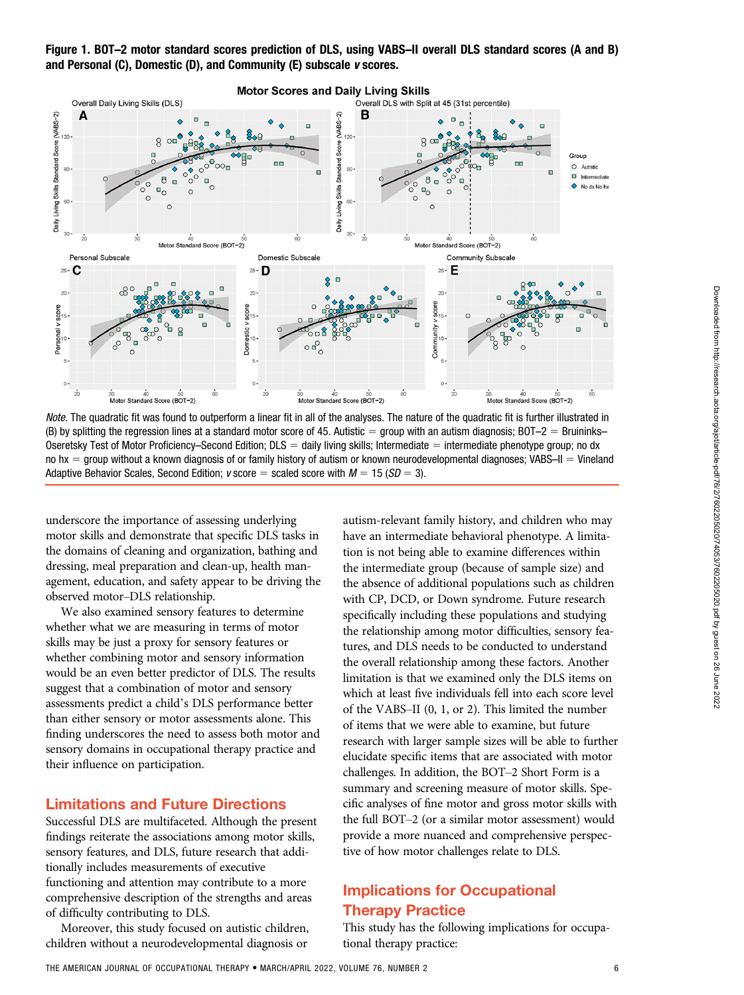

Note. The quadratic fit was found to outperform a linear fit in all of the analyses. The nature of the quadratic fit is further illustrated in (B) by splitting the regression lines at a standard motor score of 45. Autistic = group with an autism diagnosis; BOT–2 = Bruininks– Oseretsky Test of Motor Proficiency–Second Edition;  $DLS =$  daily living skills; Intermediate  $=$  intermediate phenotype group; no dx no  $hx =$  group without a known diagnosis of or family history of autism or known neurodevelopmental diagnoses; VABS–II = Vineland Adaptive Behavior Scales, Second Edition;  $v$  score = scaled score with  $M = 15$  ( $SD = 3$ ).

underscore the importance of assessing underlying motor skills and demonstrate that specific DLS tasks in the domains of cleaning and organization, bathing and dressing, meal preparation and clean-up, health management, education, and safety appear to be driving the observed motor–DLS relationship.

We also examined sensory features to determine whether what we are measuring in terms of motor skills may be just a proxy for sensory features or whether combining motor and sensory information would be an even better predictor of DLS. The results suggest that a combination of motor and sensory assessments predict a child's DLS performance better than either sensory or motor assessments alone. This finding underscores the need to assess both motor and sensory domains in occupational therapy practice and their influence on participation.

## Limitations and Future Directions

Successful DLS are multifaceted. Although the present findings reiterate the associations among motor skills, sensory features, and DLS, future research that additionally includes measurements of executive functioning and attention may contribute to a more comprehensive description of the strengths and areas of difficulty contributing to DLS.

Moreover, this study focused on autistic children, children without a neurodevelopmental diagnosis or

autism-relevant family history, and children who may have an intermediate behavioral phenotype. A limitation is not being able to examine differences within the intermediate group (because of sample size) and the absence of additional populations such as children with CP, DCD, or Down syndrome. Future research specifically including these populations and studying the relationship among motor difficulties, sensory features, and DLS needs to be conducted to understand the overall relationship among these factors. Another limitation is that we examined only the DLS items on which at least five individuals fell into each score level of the VABS–II (0, 1, or 2). This limited the number of items that we were able to examine, but future research with larger sample sizes will be able to further elucidate specific items that are associated with motor challenges. In addition, the BOT–2 Short Form is a summary and screening measure of motor skills. Specific analyses of fine motor and gross motor skills with the full BOT–2 (or a similar motor assessment) would provide a more nuanced and comprehensive perspective of how motor challenges relate to DLS.

# Implications for Occupational Therapy Practice

This study has the following implications for occupational therapy practice: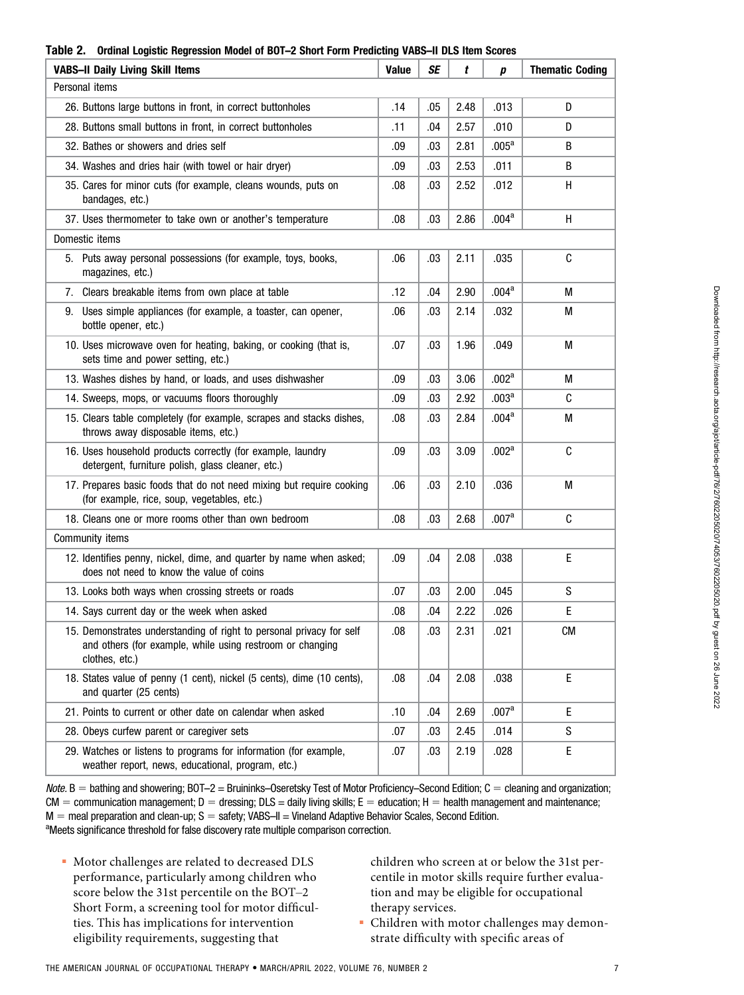|                                         |                                                                                                                                                     | $\,$ וו $\,$ וואסים ב. עם היינונות של היינונות היינונות היינונות היינונות היינונות היינונות היינונות היינונות הי<br>งบบ 65 |           |      |                   |                        |  |  |  |
|-----------------------------------------|-----------------------------------------------------------------------------------------------------------------------------------------------------|----------------------------------------------------------------------------------------------------------------------------|-----------|------|-------------------|------------------------|--|--|--|
| <b>VABS-II Daily Living Skill Items</b> |                                                                                                                                                     | <b>Value</b>                                                                                                               | <b>SE</b> | t    | р                 | <b>Thematic Coding</b> |  |  |  |
| Personal items                          |                                                                                                                                                     |                                                                                                                            |           |      |                   |                        |  |  |  |
|                                         | 26. Buttons large buttons in front, in correct buttonholes                                                                                          | .14                                                                                                                        | .05       | 2.48 | .013              | D                      |  |  |  |
|                                         | 28. Buttons small buttons in front, in correct buttonholes                                                                                          | .11                                                                                                                        | .04       | 2.57 | .010              | D                      |  |  |  |
|                                         | 32. Bathes or showers and dries self                                                                                                                | .09                                                                                                                        | .03       | 2.81 | .005 <sup>a</sup> | B                      |  |  |  |
|                                         | 34. Washes and dries hair (with towel or hair dryer)                                                                                                | .09                                                                                                                        | .03       | 2.53 | .011              | B                      |  |  |  |
|                                         | 35. Cares for minor cuts (for example, cleans wounds, puts on<br>bandages, etc.)                                                                    | .08                                                                                                                        | .03       | 2.52 | .012              | H                      |  |  |  |
|                                         | 37. Uses thermometer to take own or another's temperature                                                                                           | .08                                                                                                                        | .03       | 2.86 | .004 <sup>a</sup> | H                      |  |  |  |
|                                         | Domestic items                                                                                                                                      |                                                                                                                            |           |      |                   |                        |  |  |  |
|                                         | 5. Puts away personal possessions (for example, toys, books,<br>magazines, etc.)                                                                    | .06                                                                                                                        | .03       | 2.11 | .035              | C                      |  |  |  |
|                                         | 7. Clears breakable items from own place at table                                                                                                   | .12                                                                                                                        | .04       | 2.90 | .004 <sup>a</sup> | М                      |  |  |  |
|                                         | 9. Uses simple appliances (for example, a toaster, can opener,<br>bottle opener, etc.)                                                              | .06                                                                                                                        | .03       | 2.14 | .032              | М                      |  |  |  |
|                                         | 10. Uses microwave oven for heating, baking, or cooking (that is,<br>sets time and power setting, etc.)                                             | .07                                                                                                                        | .03       | 1.96 | .049              | M                      |  |  |  |
|                                         | 13. Washes dishes by hand, or loads, and uses dishwasher                                                                                            | .09                                                                                                                        | .03       | 3.06 | .002 <sup>a</sup> | М                      |  |  |  |
|                                         | 14. Sweeps, mops, or vacuums floors thoroughly                                                                                                      | .09                                                                                                                        | .03       | 2.92 | .003 <sup>a</sup> | C                      |  |  |  |
|                                         | 15. Clears table completely (for example, scrapes and stacks dishes,<br>throws away disposable items, etc.)                                         | .08                                                                                                                        | .03       | 2.84 | .004 <sup>a</sup> | М                      |  |  |  |
|                                         | 16. Uses household products correctly (for example, laundry<br>detergent, furniture polish, glass cleaner, etc.)                                    | .09                                                                                                                        | .03       | 3.09 | .002 <sup>a</sup> | C                      |  |  |  |
|                                         | 17. Prepares basic foods that do not need mixing but require cooking<br>(for example, rice, soup, vegetables, etc.)                                 | .06                                                                                                                        | .03       | 2.10 | .036              | М                      |  |  |  |
|                                         | 18. Cleans one or more rooms other than own bedroom                                                                                                 | .08                                                                                                                        | .03       | 2.68 | .007 <sup>a</sup> | C                      |  |  |  |
| Community items                         |                                                                                                                                                     |                                                                                                                            |           |      |                   |                        |  |  |  |
|                                         | 12. Identifies penny, nickel, dime, and quarter by name when asked;<br>does not need to know the value of coins                                     | .09                                                                                                                        | .04       | 2.08 | .038              | E                      |  |  |  |
|                                         | 13. Looks both ways when crossing streets or roads                                                                                                  | .07                                                                                                                        | .03       | 2.00 | .045              | S                      |  |  |  |
|                                         | 14. Says current day or the week when asked                                                                                                         | .08                                                                                                                        | .04       | 2.22 | .026              | E                      |  |  |  |
|                                         | 15. Demonstrates understanding of right to personal privacy for self<br>and others (for example, while using restroom or changing<br>clothes, etc.) | .08                                                                                                                        | .03       | 2.31 | .021              | <b>CM</b>              |  |  |  |
|                                         | 18. States value of penny (1 cent), nickel (5 cents), dime (10 cents),<br>and quarter (25 cents)                                                    | .08                                                                                                                        | .04       | 2.08 | .038              | $\mathsf E$            |  |  |  |
|                                         | 21. Points to current or other date on calendar when asked                                                                                          | .10                                                                                                                        | .04       | 2.69 | .007 <sup>a</sup> | E                      |  |  |  |
|                                         | 28. Obeys curfew parent or caregiver sets                                                                                                           | .07                                                                                                                        | .03       | 2.45 | .014              | S                      |  |  |  |
|                                         | 29. Watches or listens to programs for information (for example,<br>weather report, news, educational, program, etc.)                               | .07                                                                                                                        | .03       | 2.19 | .028              | E                      |  |  |  |

#### Table 2. Ordinal Logistic Regression Model of BOT–2 Short Form Predicting VABS–II DLS Item Scores

Note.  $B =$  bathing and showering; BOT–2 = Bruininks–Oseretsky Test of Motor Proficiency–Second Edition;  $C =$  cleaning and organization;  $CM =$  communication management;  $D =$  dressing;  $DLS =$  daily living skills;  $E =$  education; H = health management and maintenance;  $M =$  meal preparation and clean-up; S = safety; VABS–II = Vineland Adaptive Behavior Scales, Second Edition. <sup>a</sup>Meets significance threshold for false discovery rate multiple comparison correction.

 Motor challenges are related to decreased DLS performance, particularly among children who score below the 31st percentile on the BOT–2 Short Form, a screening tool for motor difficulties. This has implications for intervention eligibility requirements, suggesting that

children who screen at or below the 31st percentile in motor skills require further evaluation and may be eligible for occupational therapy services.

 Children with motor challenges may demonstrate difficulty with specific areas of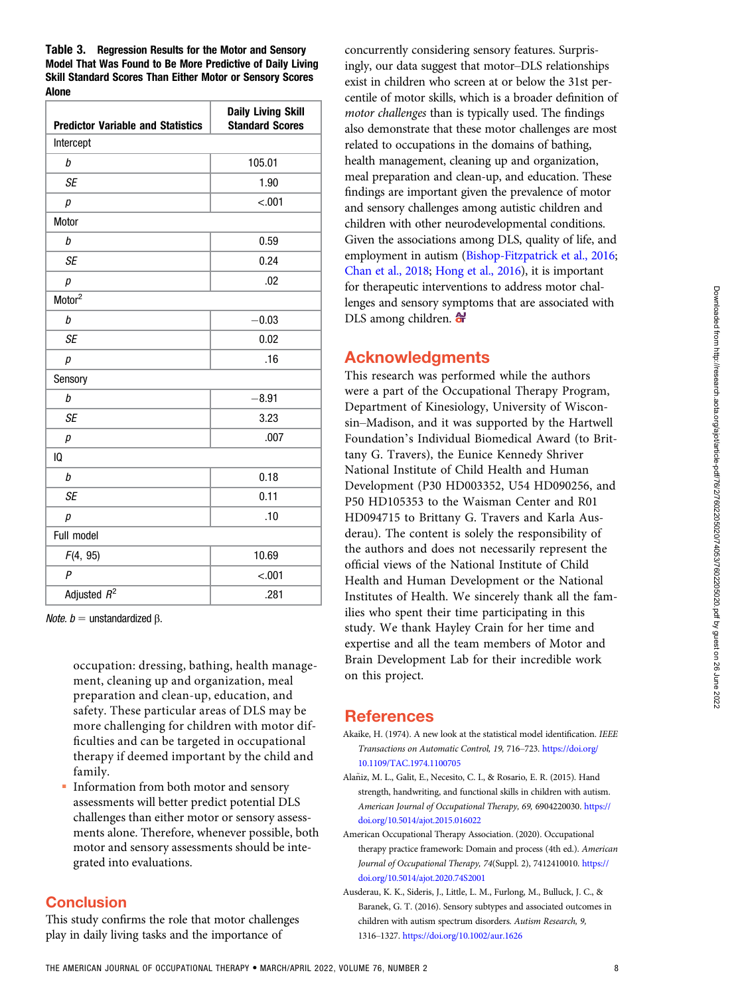<span id="page-7-0"></span>Table 3. Regression Results for the Motor and Sensory Model That Was Found to Be More Predictive of Daily Living Skill Standard Scores Than Either Motor or Sensory Scores Alone

| <b>Predictor Variable and Statistics</b> | <b>Daily Living Skill</b><br><b>Standard Scores</b> |  |  |  |  |
|------------------------------------------|-----------------------------------------------------|--|--|--|--|
| Intercept                                |                                                     |  |  |  |  |
| b                                        | 105.01                                              |  |  |  |  |
| <b>SE</b>                                | 1.90                                                |  |  |  |  |
| р                                        | $-.001$                                             |  |  |  |  |
| Motor                                    |                                                     |  |  |  |  |
| b                                        | 0.59                                                |  |  |  |  |
| <b>SE</b>                                | 0.24                                                |  |  |  |  |
| $\boldsymbol{p}$                         | .02                                                 |  |  |  |  |
| Motor <sup>2</sup>                       |                                                     |  |  |  |  |
| b                                        | $-0.03$                                             |  |  |  |  |
| <b>SE</b>                                | 0.02                                                |  |  |  |  |
| р                                        | .16                                                 |  |  |  |  |
| Sensory                                  |                                                     |  |  |  |  |
| b                                        | $-8.91$                                             |  |  |  |  |
| <b>SE</b>                                | 3.23                                                |  |  |  |  |
| р                                        | .007                                                |  |  |  |  |
| 10                                       |                                                     |  |  |  |  |
| b                                        | 0.18                                                |  |  |  |  |
| <b>SE</b>                                | 0.11                                                |  |  |  |  |
| р                                        | .10                                                 |  |  |  |  |
| Full model                               |                                                     |  |  |  |  |
| F(4, 95)                                 | 10.69                                               |  |  |  |  |
| $\overline{P}$                           | $-.001$                                             |  |  |  |  |
| Adjusted $R^2$                           | .281                                                |  |  |  |  |

*Note.*  $b =$  unstandardized β.

occupation: dressing, bathing, health management, cleaning up and organization, meal preparation and clean-up, education, and safety. These particular areas of DLS may be more challenging for children with motor difficulties and can be targeted in occupational therapy if deemed important by the child and family.

 Information from both motor and sensory assessments will better predict potential DLS challenges than either motor or sensory assessments alone. Therefore, whenever possible, both motor and sensory assessments should be integrated into evaluations.

## **Conclusion**

This study confirms the role that motor challenges play in daily living tasks and the importance of

concurrently considering sensory features. Surprisingly, our data suggest that motor–DLS relationships exist in children who screen at or below the 31st percentile of motor skills, which is a broader definition of motor challenges than is typically used. The findings also demonstrate that these motor challenges are most related to occupations in the domains of bathing, health management, cleaning up and organization, meal preparation and clean-up, and education. These findings are important given the prevalence of motor and sensory challenges among autistic children and children with other neurodevelopmental conditions. Given the associations among DLS, quality of life, and employment in autism [\(Bishop-Fitzpatrick et al., 2016](#page-8-0); [Chan et al., 2018](#page-8-0); [Hong et al., 2016](#page-8-0)), it is important for therapeutic interventions to address motor challenges and sensory symptoms that are associated with DLS among children.  $\bigoplus$ 

## Acknowledgments

This research was performed while the authors were a part of the Occupational Therapy Program, Department of Kinesiology, University of Wisconsin–Madison, and it was supported by the Hartwell Foundation's Individual Biomedical Award (to Brittany G. Travers), the Eunice Kennedy Shriver National Institute of Child Health and Human Development (P30 HD003352, U54 HD090256, and P50 HD105353 to the Waisman Center and R01 HD094715 to Brittany G. Travers and Karla Ausderau). The content is solely the responsibility of the authors and does not necessarily represent the official views of the National Institute of Child Health and Human Development or the National Institutes of Health. We sincerely thank all the families who spent their time participating in this study. We thank Hayley Crain for her time and expertise and all the team members of Motor and Brain Development Lab for their incredible work on this project.

## References

- Akaike, H. (1974). A new look at the statistical model identification. IEEE Transactions on Automatic Control, 19, 716–723. [https://doi.org/](https://doi.org/10.1109/TAC.1974.1100705) [10.1109/TAC.1974.1100705](https://doi.org/10.1109/TAC.1974.1100705)
- Alaniz, M. L., Galit, E., Necesito, C. I., & Rosario, E. R. (2015). Hand ~ strength, handwriting, and functional skills in children with autism. American Journal of Occupational Therapy, 69, 6904220030. [https://](https://doi.org/10.5014/ajot.2015.016022) [doi.org/10.5014/ajot.2015.016022](https://doi.org/10.5014/ajot.2015.016022)
- American Occupational Therapy Association. (2020). Occupational therapy practice framework: Domain and process (4th ed.). American Journal of Occupational Therapy, 74(Suppl. 2), 7412410010. [https://](https://doi.org/10.5014/ajot.2020.74S2001) [doi.org/10.5014/ajot.2020.74S2001](https://doi.org/10.5014/ajot.2020.74S2001)
- Ausderau, K. K., Sideris, J., Little, L. M., Furlong, M., Bulluck, J. C., & Baranek, G. T. (2016). Sensory subtypes and associated outcomes in children with autism spectrum disorders. Autism Research, 9, 1316–1327. <https://doi.org/10.1002/aur.1626>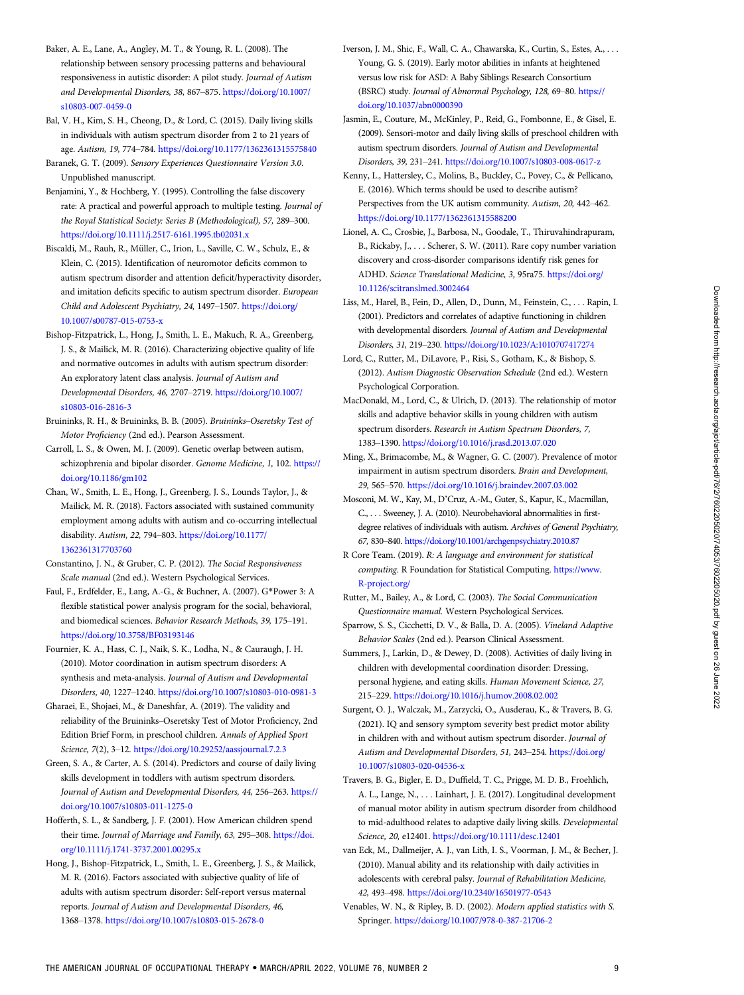- <span id="page-8-0"></span>Baker, A. E., Lane, A., Angley, M. T., & Young, R. L. (2008). The relationship between sensory processing patterns and behavioural responsiveness in autistic disorder: A pilot study. Journal of Autism and Developmental Disorders, 38, 867–875. [https://doi.org/10.1007/](https://doi.org/10.1007/s10803-007-0459-0) [s10803-007-0459-0](https://doi.org/10.1007/s10803-007-0459-0)
- Bal, V. H., Kim, S. H., Cheong, D., & Lord, C. (2015). Daily living skills in individuals with autism spectrum disorder from 2 to 21 years of age. Autism, 19, 774–784. <https://doi.org/10.1177/1362361315575840>
- Baranek, G. T. (2009). Sensory Experiences Questionnaire Version 3.0. Unpublished manuscript.
- Benjamini, Y., & Hochberg, Y. (1995). Controlling the false discovery rate: A practical and powerful approach to multiple testing. Journal of the Royal Statistical Society: Series B (Methodological), 57, 289–300. <https://doi.org/10.1111/j.2517-6161.1995.tb02031.x>
- Biscaldi, M., Rauh, R., Müller, C., Irion, L., Saville, C. W., Schulz, E., & Klein, C. (2015). Identification of neuromotor deficits common to autism spectrum disorder and attention deficit/hyperactivity disorder, and imitation deficits specific to autism spectrum disorder. European Child and Adolescent Psychiatry, 24, 1497–1507. [https://doi.org/](https://doi.org/10.1007/s00787-015-0753-x) [10.1007/s00787-015-0753-x](https://doi.org/10.1007/s00787-015-0753-x)
- Bishop-Fitzpatrick, L., Hong, J., Smith, L. E., Makuch, R. A., Greenberg, J. S., & Mailick, M. R. (2016). Characterizing objective quality of life and normative outcomes in adults with autism spectrum disorder: An exploratory latent class analysis. Journal of Autism and Developmental Disorders, 46, 2707–2719. [https://doi.org/10.1007/](https://doi.org/10.1007/s10803-016-2816-3) [s10803-016-2816-3](https://doi.org/10.1007/s10803-016-2816-3)
- Bruininks, R. H., & Bruininks, B. B. (2005). Bruininks–Oseretsky Test of Motor Proficiency (2nd ed.). Pearson Assessment.
- Carroll, L. S., & Owen, M. J. (2009). Genetic overlap between autism, schizophrenia and bipolar disorder. Genome Medicine, 1, 102. [https://](https://doi.org/10.1186/gm102) [doi.org/10.1186/gm102](https://doi.org/10.1186/gm102)
- Chan, W., Smith, L. E., Hong, J., Greenberg, J. S., Lounds Taylor, J., & Mailick, M. R. (2018). Factors associated with sustained community employment among adults with autism and co-occurring intellectual disability. Autism, 22, 794–803. [https://doi.org/10.1177/](https://doi.org/10.1177/1362361317703760) [1362361317703760](https://doi.org/10.1177/1362361317703760)
- Constantino, J. N., & Gruber, C. P. (2012). The Social Responsiveness Scale manual (2nd ed.). Western Psychological Services.
- Faul, F., Erdfelder, E., Lang, A.-G., & Buchner, A. (2007). G\*Power 3: A flexible statistical power analysis program for the social, behavioral, and biomedical sciences. Behavior Research Methods, 39, 175–191. <https://doi.org/10.3758/BF03193146>
- Fournier, K. A., Hass, C. J., Naik, S. K., Lodha, N., & Cauraugh, J. H. (2010). Motor coordination in autism spectrum disorders: A synthesis and meta-analysis. Journal of Autism and Developmental Disorders, 40, 1227–1240. <https://doi.org/10.1007/s10803-010-0981-3>
- Gharaei, E., Shojaei, M., & Daneshfar, A. (2019). The validity and reliability of the Bruininks–Oseretsky Test of Motor Proficiency, 2nd Edition Brief Form, in preschool children. Annals of Applied Sport Science, 7(2), 3–12. <https://doi.org/10.29252/aassjournal.7.2.3>
- Green, S. A., & Carter, A. S. (2014). Predictors and course of daily living skills development in toddlers with autism spectrum disorders. Journal of Autism and Developmental Disorders, 44, 256–263. [https://](https://doi.org/10.1007/s10803-011-1275-0) [doi.org/10.1007/s10803-011-1275-0](https://doi.org/10.1007/s10803-011-1275-0)
- Hofferth, S. L., & Sandberg, J. F. (2001). How American children spend their time. Journal of Marriage and Family, 63, 295–308. [https://doi.](https://doi.org/10.1111/j.1741-3737.2001.00295.x) [org/10.1111/j.1741-3737.2001.00295.x](https://doi.org/10.1111/j.1741-3737.2001.00295.x)
- Hong, J., Bishop-Fitzpatrick, L., Smith, L. E., Greenberg, J. S., & Mailick, M. R. (2016). Factors associated with subjective quality of life of adults with autism spectrum disorder: Self-report versus maternal reports. Journal of Autism and Developmental Disorders, 46, 1368–1378. <https://doi.org/10.1007/s10803-015-2678-0>
- Iverson, J. M., Shic, F., Wall, C. A., Chawarska, K., Curtin, S., Estes, A., . . . Young, G. S. (2019). Early motor abilities in infants at heightened versus low risk for ASD: A Baby Siblings Research Consortium (BSRC) study. Journal of Abnormal Psychology, 128, 69–80. [https://](https://doi.org/10.1037/abn0000390) [doi.org/10.1037/abn0000390](https://doi.org/10.1037/abn0000390)
- Jasmin, E., Couture, M., McKinley, P., Reid, G., Fombonne, E., & Gisel, E. (2009). Sensori-motor and daily living skills of preschool children with autism spectrum disorders. Journal of Autism and Developmental Disorders, 39, 231–241. <https://doi.org/10.1007/s10803-008-0617-z>
- Kenny, L., Hattersley, C., Molins, B., Buckley, C., Povey, C., & Pellicano, E. (2016). Which terms should be used to describe autism? Perspectives from the UK autism community. Autism, 20, 442–462. <https://doi.org/10.1177/1362361315588200>
- Lionel, A. C., Crosbie, J., Barbosa, N., Goodale, T., Thiruvahindrapuram, B., Rickaby, J., . . . Scherer, S. W. (2011). Rare copy number variation discovery and cross-disorder comparisons identify risk genes for ADHD. Science Translational Medicine, 3, 95ra75. [https://doi.org/](https://doi.org/10.1126/scitranslmed.3002464) [10.1126/scitranslmed.3002464](https://doi.org/10.1126/scitranslmed.3002464)
- Liss, M., Harel, B., Fein, D., Allen, D., Dunn, M., Feinstein, C., . . . Rapin, I. (2001). Predictors and correlates of adaptive functioning in children with developmental disorders. Journal of Autism and Developmental Disorders, 31, 219–230. <https://doi.org/10.1023/A:1010707417274>
- Lord, C., Rutter, M., DiLavore, P., Risi, S., Gotham, K., & Bishop, S. (2012). Autism Diagnostic Observation Schedule (2nd ed.). Western Psychological Corporation.
- MacDonald, M., Lord, C., & Ulrich, D. (2013). The relationship of motor skills and adaptive behavior skills in young children with autism spectrum disorders. Research in Autism Spectrum Disorders, 7, 1383–1390. <https://doi.org/10.1016/j.rasd.2013.07.020>
- Ming, X., Brimacombe, M., & Wagner, G. C. (2007). Prevalence of motor impairment in autism spectrum disorders. Brain and Development, 29, 565–570. <https://doi.org/10.1016/j.braindev.2007.03.002>
- Mosconi, M. W., Kay, M., D'Cruz, A.-M., Guter, S., Kapur, K., Macmillan, C., . . . Sweeney, J. A. (2010). Neurobehavioral abnormalities in firstdegree relatives of individuals with autism. Archives of General Psychiatry, 67, 830–840. <https://doi.org/10.1001/archgenpsychiatry.2010.87>
- R Core Team. (2019). R: A language and environment for statistical computing. R Foundation for Statistical Computing. [https://www.](https://www.R-project.org/) [R-project.org/](https://www.R-project.org/)
- Rutter, M., Bailey, A., & Lord, C. (2003). The Social Communication Questionnaire manual. Western Psychological Services.
- Sparrow, S. S., Cicchetti, D. V., & Balla, D. A. (2005). Vineland Adaptive Behavior Scales (2nd ed.). Pearson Clinical Assessment.
- Summers, J., Larkin, D., & Dewey, D. (2008). Activities of daily living in children with developmental coordination disorder: Dressing, personal hygiene, and eating skills. Human Movement Science, 27, 215–229. <https://doi.org/10.1016/j.humov.2008.02.002>
- Surgent, O. J., Walczak, M., Zarzycki, O., Ausderau, K., & Travers, B. G. (2021). IQ and sensory symptom severity best predict motor ability in children with and without autism spectrum disorder. Journal of Autism and Developmental Disorders, 51, 243–254. [https://doi.org/](https://doi.org/10.1007/s10803-020-04536-x) [10.1007/s10803-020-04536-x](https://doi.org/10.1007/s10803-020-04536-x)
- Travers, B. G., Bigler, E. D., Duffield, T. C., Prigge, M. D. B., Froehlich, A. L., Lange, N., . . . Lainhart, J. E. (2017). Longitudinal development of manual motor ability in autism spectrum disorder from childhood to mid-adulthood relates to adaptive daily living skills. Developmental Science, 20, e12401. <https://doi.org/10.1111/desc.12401>
- van Eck, M., Dallmeijer, A. J., van Lith, I. S., Voorman, J. M., & Becher, J. (2010). Manual ability and its relationship with daily activities in adolescents with cerebral palsy. Journal of Rehabilitation Medicine, 42, 493–498. <https://doi.org/10.2340/16501977-0543>
- Venables, W. N., & Ripley, B. D. (2002). Modern applied statistics with S. Springer. <https://doi.org/10.1007/978-0-387-21706-2>